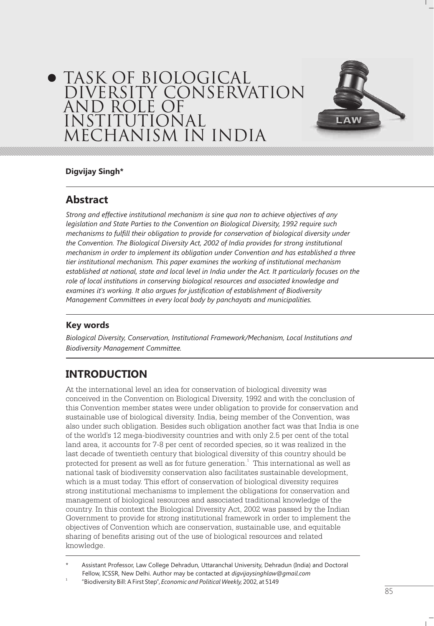# TASK OF BIOLOGICAL DIVERSITY CONSERVATION AND ROLE OF INSTITUTIONAL MECHANISM IN INDIA



#### **Digvijay Singh\***

### **Abstract**

*Strong and effective institutional mechanism is sine qua non to achieve objectives of any legislation and State Parties to the Convention on Biological Diversity, 1992 require such mechanisms to fulfill their obligation to provide for conservation of biological diversity under the Convention. The Biological Diversity Act, 2002 of India provides for strong institutional mechanism in order to implement its obligation under Convention and has established a three tier institutional mechanism. This paper examines the working of institutional mechanism established at national, state and local level in India under the Act. It particularly focuses on the role of local institutions in conserving biological resources and associated knowledge and examines it's working. It also argues for justification of establishment of Biodiversity Management Committees in every local body by panchayats and municipalities.*

#### **Key words**

*Biological Diversity, Conservation, Institutional Framework/Mechanism, Local Institutions and Biodiversity Management Committee.*

### **INTRODUCTION**

At the international level an idea for conservation of biological diversity was conceived in the Convention on Biological Diversity, 1992 and with the conclusion of this Convention member states were under obligation to provide for conservation and sustainable use of biological diversity. India, being member of the Convention, was also under such obligation. Besides such obligation another fact was that India is one of the world's 12 mega-biodiversity countries and with only 2.5 per cent of the total land area, it accounts for 7-8 per cent of recorded species, so it was realized in the last decade of twentieth century that biological diversity of this country should be protected for present as well as for future generation. $^{\rm 1}$  This international as well as national task of biodiversity conservation also facilitates sustainable development, which is a must today. This effort of conservation of biological diversity requires strong institutional mechanisms to implement the obligations for conservation and management of biological resources and associated traditional knowledge of the country. In this context the Biological Diversity Act, 2002 was passed by the Indian Government to provide for strong institutional framework in order to implement the objectives of Convention which are conservation, sustainable use, and equitable sharing of benefits arising out of the use of biological resources and related knowledge.

Assistant Professor, Law College Dehradun, Uttaranchal University, Dehradun (India) and Doctoral Fellow, ICSSR, New Delhi. Author may be contacted at *digvijaysinghlaw@gmail.com*

1 "Biodiversity Bill: A First Step", *Economic and Political Weekly,* 2002, at 5149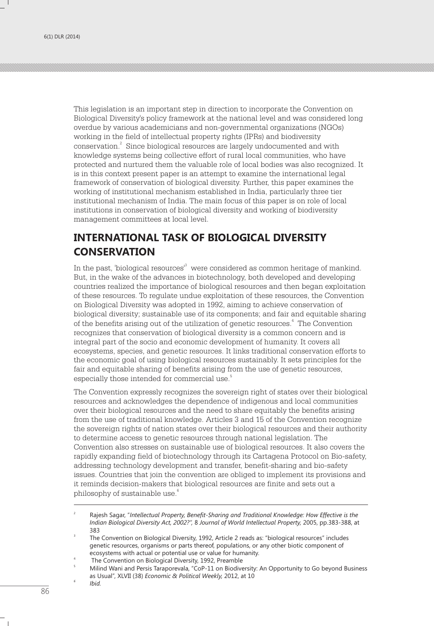This legislation is an important step in direction to incorporate the Convention on Biological Diversity's policy framework at the national level and was considered long overdue by various academicians and non-governmental organizations (NGOs) working in the field of intellectual property rights (IPRs) and biodiversity  $\,$  conservation. $\,$  Since biological resources are largely undocumented and with knowledge systems being collective effort of rural local communities, who have protected and nurtured them the valuable role of local bodies was also recognized. It is in this context present paper is an attempt to examine the international legal framework of conservation of biological diversity. Further, this paper examines the working of institutional mechanism established in India, particularly three tier institutional mechanism of India. The main focus of this paper is on role of local institutions in conservation of biological diversity and working of biodiversity management committees at local level.

### **INTERNATIONAL TASK OF BIOLOGICAL DIVERSITY CONSERVATION**

In the past, 'biological resources' $^3$  were considered as common heritage of mankind. But, in the wake of the advances in biotechnology, both developed and developing countries realized the importance of biological resources and then began exploitation of these resources. To regulate undue exploitation of these resources, the Convention on Biological Diversity was adopted in 1992, aiming to achieve conservation of biological diversity; sustainable use of its components; and fair and equitable sharing of the benefits arising out of the utilization of genetic resources.<sup>4</sup> The Convention recognizes that conservation of biological diversity is a common concern and is integral part of the socio and economic development of humanity. It covers all ecosystems, species, and genetic resources. It links traditional conservation efforts to the economic goal of using biological resources sustainably. It sets principles for the fair and equitable sharing of benefits arising from the use of genetic resources, 5 especially those intended for commercial use.

The Convention expressly recognizes the sovereign right of states over their biological resources and acknowledges the dependence of indigenous and local communities over their biological resources and the need to share equitably the benefits arising from the use of traditional knowledge. Articles 3 and 15 of the Convention recognize the sovereign rights of nation states over their biological resources and their authority to determine access to genetic resources through national legislation. The Convention also stresses on sustainable use of biological resources. It also covers the rapidly expanding field of biotechnology through its Cartagena Protocol on Bio-safety, addressing technology development and transfer, benefit-sharing and bio-safety issues. Countries that join the convention are obliged to implement its provisions and it reminds decision-makers that biological resources are finite and sets out a 6 philosophy of sustainable use.

<sup>2</sup> Rajesh Sagar, "*Intellectual Property, Benefit-Sharing and Traditional Knowledge: How Effective is the Indian Biological Diversity Act, 2002?",* 8 *Journal of World Intellectual Property,* 2005, pp.383-388, at 383

<sup>3</sup> The Convention on Biological Diversity, 1992, Article 2 reads as: "biological resources" includes genetic resources, organisms or parts thereof, populations, or any other biotic component of ecosystems with actual or potential use or value for humanity.

<sup>4</sup> The Convention on Biological Diversity, 1992, Preamble

<sup>5</sup> Milind Wani and Persis Taraporevala, "CoP-11 on Biodiversity: An Opportunity to Go beyond Business as Usual", XLVII (38) *Economic & Political Weekly,* 2012, at 10

*<sup>6</sup> Ibid.*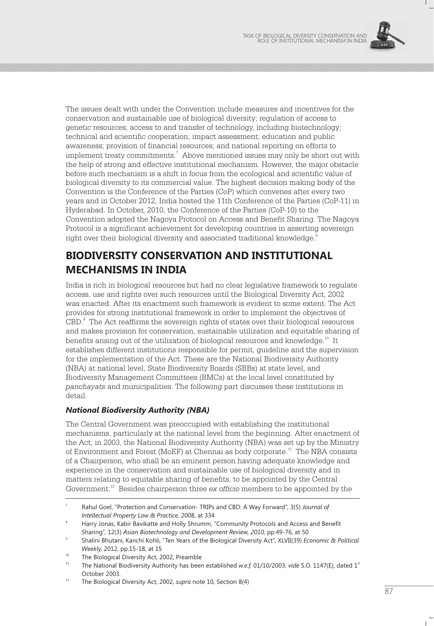

The issues dealt with under the Convention include measures and incentives for the conservation and sustainable use of biological diversity; regulation of access to genetic resources; access to and transfer of technology, including biotechnology; technical and scientific cooperation; impact assessment; education and public awareness; provision of financial resources; and national reporting on efforts to implement treaty commitments. $^7\,$  Above mentioned issues may only be short out with the help of strong and effective institutional mechanism. However, the major obstacle before such mechanism is a shift in focus from the ecological and scientific value of biological diversity to its commercial value. The highest decision making body of the Convention is the Conference of the Parties (CoP) which convenes after every two years and in October 2012, India hosted the 11th Conference of the Parties (CoP-11) in Hyderabad. In October, 2010, the Conference of the Parties (CoP-10) to the Convention adopted the Nagoya Protocol on Access and Benefit Sharing. The Nagoya Protocol is a significant achievement for developing countries in asserting sovereign  $\,$ right over their biological diversity and associated traditional knowledge. $^8$ 

### **BIODIVERSITY CONSERVATION AND INSTITUTIONAL MECHANISMS IN INDIA**

India is rich in biological resources but had no clear legislative framework to regulate access, use and rights over such resources until the Biological Diversity Act, 2002 was enacted. After its enactment such framework is evident to some extent. The Act provides for strong institutional framework in order to implement the objectives of CBD.<sup>9</sup> The Act reaffirms the sovereign rights of states over their biological resources and makes provision for conservation, sustainable utilization and equitable sharing of benefits arising out of the utilization of biological resources and knowledge.<sup>10</sup> It establishes different institutions responsible for permit, guideline and the supervision for the implementation of the Act. These are the National Biodiversity Authority (NBA) at national level, State Biodiversity Boards (SBBs) at state level, and Biodiversity Management Committees (BMCs) at the local level constituted by *panchayats* and municipalities. The following part discusses these institutions in detail.

#### *National Biodiversity Authority (NBA)*

The Central Government was preoccupied with establishing the institutional mechanisms, particularly at the national level from the beginning. After enactment of the Act, in 2003, the National Biodiversity Authority (NBA) was set up by the Ministry of Environment and Forest (MoEF) at Chennai as body corporate.<sup>11</sup> The NBA consists of a Chairperson, who shall be an eminent person having adequate knowledge and experience in the conservation and sustainable use of biological diversity and in matters relating to equitable sharing of benefits, to be appointed by the Central Government.<sup>12</sup> Besides chairperson three *ex officio* members to be appointed by the

Rahul Goel, "Protection and Conservation- TRIPs and CBD: A Way Forward", 3(5) *Journal of Intellectual Property Law & Practice,* 2008, at 334

Harry Jonas, Kabir Bavikatte and Holly Shrumm, "Community Protocols and Access and Benefit Sharing", 12(3) Asian Biotechnology and Development Review, 2010, pp.49-76, at 50

<sup>9</sup> Shalini Bhutani, Kanchi Kohli, "Ten Years of the Biological Diversity Act", XLVII(39) *Economic & Political Weekly,* 2012, pp.15-18, at 15

<sup>&</sup>lt;sup>10</sup> The Biological Diversity Act, 2002, Preamble

The National Biodiversity Authority has been established *w.e.f.* 01/10/2003, *vide* S.O. 1147(E), dated 1<sup>st</sup> October 2003.

<sup>&</sup>lt;sup>12</sup> The Biological Diversity Act, 2002, *supra* note 10, Section 8(4)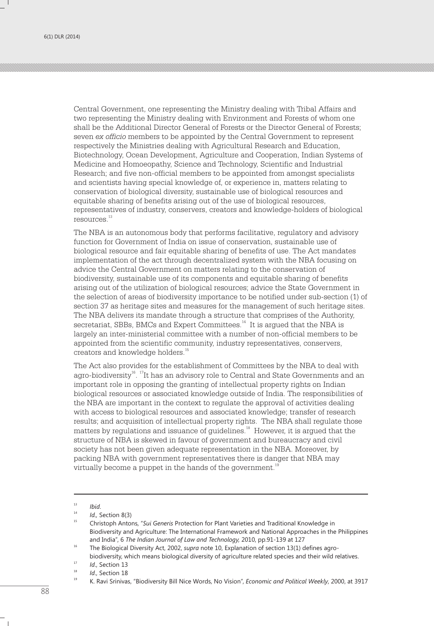Central Government, one representing the Ministry dealing with Tribal Affairs and two representing the Ministry dealing with Environment and Forests of whom one shall be the Additional Director General of Forests or the Director General of Forests; seven *ex officio* members to be appointed by the Central Government to represent respectively the Ministries dealing with Agricultural Research and Education, Biotechnology, Ocean Development, Agriculture and Cooperation, Indian Systems of Medicine and Homoeopathy, Science and Technology, Scientific and Industrial Research; and five non-official members to be appointed from amongst specialists and scientists having special knowledge of, or experience in, matters relating to conservation of biological diversity, sustainable use of biological resources and equitable sharing of benefits arising out of the use of biological resources, representatives of industry, conservers, creators and knowledge-holders of biological resources.<sup>13</sup>

The NBA is an autonomous body that performs facilitative, regulatory and advisory function for Government of India on issue of conservation, sustainable use of biological resource and fair equitable sharing of benefits of use. The Act mandates implementation of the act through decentralized system with the NBA focusing on advice the Central Government on matters relating to the conservation of biodiversity, sustainable use of its components and equitable sharing of benefits arising out of the utilization of biological resources; advice the State Government in the selection of areas of biodiversity importance to be notified under sub-section (1) of section 37 as heritage sites and measures for the management of such heritage sites. The NBA delivers its mandate through a structure that comprises of the Authority, secretariat, SBBs, BMCs and Expert Committees.<sup>14</sup> It is argued that the NBA is largely an inter-ministerial committee with a number of non-official members to be appointed from the scientific community, industry representatives, conservers, creators and knowledge holders.<sup>15</sup>

The Act also provides for the establishment of Committees by the NBA to deal with agro-biodiversity<sup>16</sup>. <sup>17</sup>It has an advisory role to Central and State Governments and an important role in opposing the granting of intellectual property rights on Indian biological resources or associated knowledge outside of India. The responsibilities of the NBA are important in the context to regulate the approval of activities dealing with access to biological resources and associated knowledge; transfer of research results; and acquisition of intellectual property rights. The NBA shall regulate those matters by regulations and issuance of guidelines.<sup>18</sup> However, it is argued that the structure of NBA is skewed in favour of government and bureaucracy and civil society has not been given adequate representation in the NBA. Moreover, by packing NBA with government representatives there is danger that NBA may virtually become a puppet in the hands of the government. $1$ 

 $13$  *Ibid.* 

 $14$  *Id.*, Section 8(3)

<sup>15</sup> Christoph Antons, "*Sui Generis* Protection for Plant Varieties and Traditional Knowledge in Biodiversity and Agriculture: The International Framework and National Approaches in the Philippines and India", 6 *The Indian Journal of Law and Technology,* 2010, pp.91-139 at 127

<sup>16</sup> The Biological Diversity Act, 2002, *supra* note 10, Explanation of section 13(1) defines agrobiodiversity, which means biological diversity of agriculture related species and their wild relatives.

<sup>&</sup>lt;sup>17</sup> *Id.*, Section 13

 $18$  *Id.*, Section 18

<sup>19</sup> K. Ravi Srinivas, "Biodiversity Bill Nice Words, No Vision", *Economic and Political Weekly*, 2000, at 3917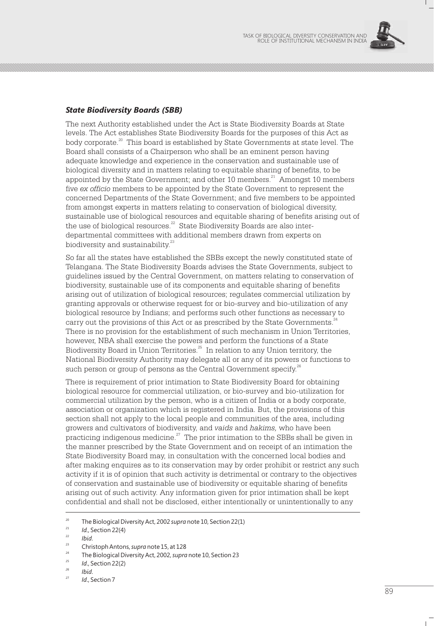

#### *State Biodiversity Boards (SBB)*

The next Authority established under the Act is State Biodiversity Boards at State levels. The Act establishes State Biodiversity Boards for the purposes of this Act as body corporate.<sup>20</sup> This board is established by State Governments at state level. The Board shall consists of a Chairperson who shall be an eminent person having adequate knowledge and experience in the conservation and sustainable use of biological diversity and in matters relating to equitable sharing of benefits, to be appointed by the State Government; and other 10 members.<sup>21</sup> Amongst 10 members five *ex officio* members to be appointed by the State Government to represent the concerned Departments of the State Government; and five members to be appointed from amongst experts in matters relating to conservation of biological diversity, sustainable use of biological resources and equitable sharing of benefits arising out of the use of biological resources.<sup>22</sup> State Biodiversity Boards are also interdepartmental committees with additional members drawn from experts on biodiversity and sustainability.<sup>23</sup>

So far all the states have established the SBBs except the newly constituted state of Telangana. The State Biodiversity Boards advises the State Governments, subject to guidelines issued by the Central Government, on matters relating to conservation of biodiversity, sustainable use of its components and equitable sharing of benefits arising out of utilization of biological resources; regulates commercial utilization by granting approvals or otherwise request for or bio-survey and bio-utilization of any biological resource by Indians; and performs such other functions as necessary to carry out the provisions of this Act or as prescribed by the State Governments.<sup>24</sup> There is no provision for the establishment of such mechanism in Union Territories, however, NBA shall exercise the powers and perform the functions of a State Biodiversity Board in Union Territories. $^{25}$  In relation to any Union territory, the National Biodiversity Authority may delegate all or any of its powers or functions to such person or group of persons as the Central Government specify.<sup>26</sup>

There is requirement of prior intimation to State Biodiversity Board for obtaining biological resource for commercial utilization, or bio-survey and bio-utilization for commercial utilization by the person, who is a citizen of India or a body corporate, association or organization which is registered in India. But, the provisions of this section shall not apply to the local people and communities of the area, including growers and cultivators of biodiversity, and *vaids* and *hakims,* who have been practicing indigenous medicine. $27$  The prior intimation to the SBBs shall be given in the manner prescribed by the State Government and on receipt of an intimation the State Biodiversity Board may, in consultation with the concerned local bodies and after making enquires as to its conservation may by order prohibit or restrict any such activity if it is of opinion that such activity is detrimental or contrary to the objectives of conservation and sustainable use of biodiversity or equitable sharing of benefits arising out of such activity. Any information given for prior intimation shall be kept confidential and shall not be disclosed, either intentionally or unintentionally to any

<sup>&</sup>lt;sup>20</sup> The Biological Diversity Act, 2002 *supra* note 10, Section 22(1)

<sup>&</sup>lt;sup>21</sup> *Id.*, Section 22(4)

 $\frac{22}{23}$  *Ibid.* 

<sup>&</sup>lt;sup>23</sup> Christoph Antons, *supra* note 15, at 128

<sup>&</sup>lt;sup>24</sup> The Biological Diversity Act, 2002, *supra* note 10, Section 23

<sup>25</sup> *Id*., Section 22(2)

*<sup>26</sup> Ibid*.

*Id.*, Section 7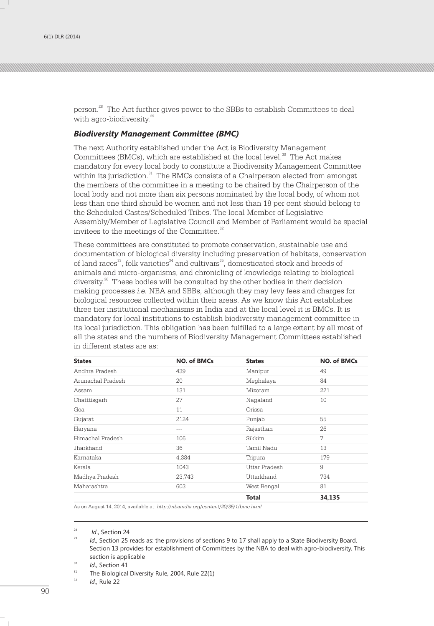person.<sup>28</sup> The Act further gives power to the SBBs to establish Committees to deal with agro-biodiversity.<sup>29</sup>

#### *Biodiversity Management Committee (BMC)*

The next Authority established under the Act is Biodiversity Management Committees (BMCs), which are established at the local level. $30$  The Act makes mandatory for every local body to constitute a Biodiversity Management Committee within its jurisdiction.<sup>31</sup> The BMCs consists of a Chairperson elected from amongst the members of the committee in a meeting to be chaired by the Chairperson of the local body and not more than six persons nominated by the local body, of whom not less than one third should be women and not less than 18 per cent should belong to the Scheduled Castes/Scheduled Tribes. The local Member of Legislative Assembly/Member of Legislative Council and Member of Parliament would be special invitees to the meetings of the Committee. $32$ 

These committees are constituted to promote conservation, sustainable use and documentation of biological diversity including preservation of habitats, conservation of land races<sup>33</sup>, folk varieties<sup>34</sup> and cultivars<sup>35</sup>, domesticated stock and breeds of animals and micro-organisms, and chronicling of knowledge relating to biological diversity.<sup>36</sup> These bodies will be consulted by the other bodies in their decision making processes *i.e.* NBA and SBBs, although they may levy fees and charges for biological resources collected within their areas. As we know this Act establishes three tier institutional mechanisms in India and at the local level it is BMCs. It is mandatory for local institutions to establish biodiversity management committee in its local jurisdiction. This obligation has been fulfilled to a large extent by all most of all the states and the numbers of Biodiversity Management Committees established in different states are as:

| <b>States</b>     | <b>NO. of BMCs</b> | <b>States</b> | <b>NO. of BMCs</b> |
|-------------------|--------------------|---------------|--------------------|
| Andhra Pradesh    | 439                | Manipur       | 49                 |
| Arunachal Pradesh | 20                 | Meghalaya     | 84                 |
| Assam             | 131                | Mizoram       | 22.1               |
| Chatttisgarh      | 27                 | Nagaland      | 10                 |
| Goa               | 11                 | Orissa        | $---$              |
| Gujarat           | 2124               | Punjab        | 55                 |
| Haryana           | $- - -$            | Rajasthan     | 26                 |
| Himachal Pradesh  | 106                | Sikkim        | 7                  |
| Jharkhand         | 36                 | Tamil Nadu    | 13                 |
| Karnataka         | 4,384              | Tripura       | 179                |
| Kerala            | 1043               | Uttar Pradesh | 9                  |
| Madhya Pradesh    | 23,743             | Uttarkhand    | 734                |
| Maharashtra       | 603                | West Bengal   | 81                 |
|                   |                    | <b>Total</b>  | 34,135             |

As on August 14, 2014, available at: *http://nbaindia.org/content/20/35/1/bmc.html*

<sup>32</sup> *Id.,* Rule 22

<sup>28</sup> *Id*., Section 24

*Id.*, Section 25 reads as: the provisions of sections 9 to 17 shall apply to a State Biodiversity Board. Section 13 provides for establishment of Committees by the NBA to deal with agro-biodiversity. This section is applicable

 $^{30}$  *Id.*, Section 41

The Biological Diversity Rule, 2004, Rule 22(1)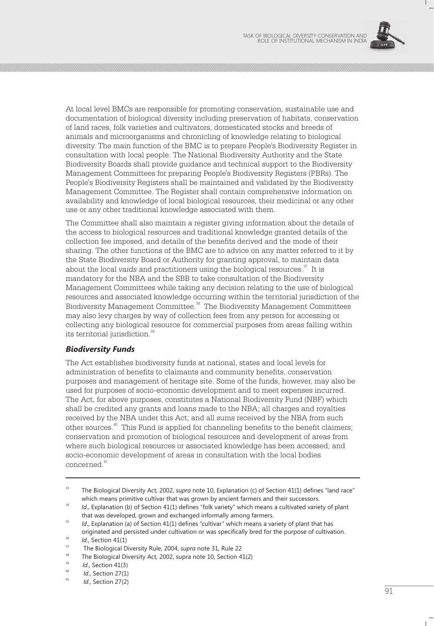

At local level BMCs are responsible for promoting conservation, sustainable use and documentation of biological diversity including preservation of habitats, conservation of land races, folk varieties and cultivators, domesticated stocks and breeds of animals and microorganisms and chronicling of knowledge relating to biological diversity. The main function of the BMC is to prepare People's Biodiversity Register in consultation with local people. The National Biodiversity Authority and the State Biodiversity Boards shall provide guidance and technical support to the Biodiversity Management Committees for preparing People's Biodiversity Registers (PBRs). The People's Biodiversity Registers shall be maintained and validated by the Biodiversity Management Committee. The Register shall contain comprehensive information on availability and knowledge of local biological resources, their medicinal or any other use or any other traditional knowledge associated with them.

The Committee shall also maintain a register giving information about the details of the access to biological resources and traditional knowledge granted details of the collection fee imposed, and details of the benefits derived and the mode of their sharing. The other functions of the BMC are to advice on any matter referred to it by the State Biodiversity Board or Authority for granting approval, to maintain data about the local *vaids* and practitioners using the biological resources.<sup>37</sup> It is mandatory for the NBA and the SBB to take consultation of the Biodiversity Management Committees while taking any decision relating to the use of biological resources and associated knowledge occurring within the territorial jurisdiction of the Biodiversity Management Committee.<sup>38</sup> The Biodiversity Management Committees may also levy charges by way of collection fees from any person for accessing or collecting any biological resource for commercial purposes from areas falling within its territorial jurisdiction.<sup>39</sup>

#### *Biodiversity Funds*

The Act establishes biodiversity funds at national, states and local levels for administration of benefits to claimants and community benefits, conservation purposes and management of heritage site. Some of the funds, however, may also be used for purposes of socio-economic development and to meet expenses incurred. The Act, for above purposes, constitutes a National Biodiversity Fund (NBF) which shall be credited any grants and loans made to the NBA; all charges and royalties received by the NBA under this Act; and all sums received by the NBA from such other sources.<sup>40</sup> This Fund is applied for channeling benefits to the benefit claimers; conservation and promotion of biological resources and development of areas from where such biological resources or associated knowledge has been accessed; and socio-economic development of areas in consultation with the local bodies 41 concerned.

<sup>&</sup>lt;sup>33</sup> The Biological Diversity Act, 2002, *supra* note 10, Explanation (c) of Section 41(1) defines "land race" which means primitive cultivar that was grown by ancient farmers and their successors.

Id., Explanation (b) of Section 41(1) defines "folk variety" which means a cultivated variety of plant that was developed, grown and exchanged informally among farmers.

<sup>&</sup>lt;sup>35</sup> *Id.*, Explanation (a) of Section 41(1) defines "cultivar" which means a variety of plant that has originated and persisted under cultivation or was specifically bred for the purpose of cultivation.

 $^{36}$  *Id.*, Section 41(1)

<sup>&</sup>lt;sup>37</sup> The Biological Diversity Rule, 2004, *supra* note 31, Rule 22

<sup>&</sup>lt;sup>38</sup> The Biological Diversity Act, 2002, supra note 10, Section 41(2)

<sup>&</sup>lt;sup>39</sup> *Id.*, Section 41(3)

<sup>40</sup> *Id*., Section 27(1)

<sup>41</sup> *Id*., Section 27(2)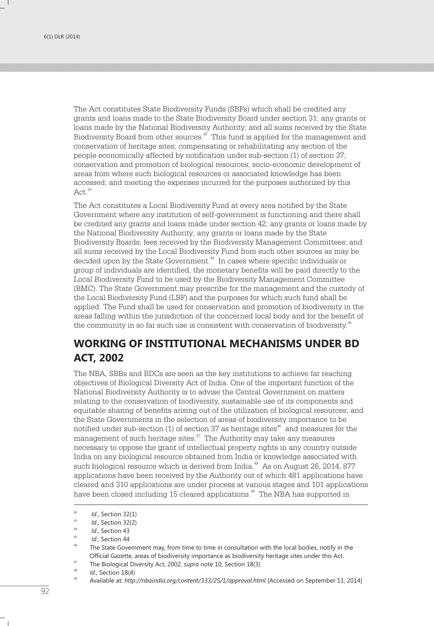The Act constitutes State Biodiversity Funds (SBFs) which shall be credited any grants and loans made to the State Biodiversity Board under section 31; any grants or loans made by the National Biodiversity Authority; and all sums received by the State Biodiversity Board from other sources.<sup>42</sup> This fund is applied for the management and conservation of heritage sites; compensating or rehabilitating any section of the people economically affected by notification under sub-section (1) of section 37; conservation and promotion of biological resources; socio-economic development of areas from where such biological resources or associated knowledge has been accessed; and meeting the expenses incurred for the purposes authorized by this  $Act.<sup>43</sup>$ 

The Act constitutes a Local Biodiversity Fund at every area notified by the State Government where any institution of self-government is functioning and there shall be credited any grants and loans made under section 42; any grants or loans made by the National Biodiversity Authority; any grants or loans made by the State Biodiversity Boards; fees received by the Biodiversity Management Committees; and all sums received by the Local Biodiversity Fund from such other sources as may be decided upon by the State Government.<sup>44</sup> In cases where specific individuals or group of individuals are identified, the monetary benefits will be paid directly to the Local Biodiversity Fund to be used by the Biodiversity Management Committee (BMC). The State Government may prescribe for the management and the custody of the Local Biodiversity Fund (LBF) and the purposes for which such fund shall be applied. The Fund shall be used for conservation and promotion of biodiversity in the areas falling within the jurisdiction of the concerned local body and for the benefit of the community in so far such use is consistent with conservation of biodiversity.<sup>45</sup>

### **WORKING OF INSTITUTIONAL MECHANISMS UNDER BD ACT, 2002**

The NBA, SBBs and BDCs are seen as the key institutions to achieve far reaching objectives of Biological Diversity Act of India. One of the important function of the National Biodiversity Authority is to advise the Central Government on matters relating to the conservation of biodiversity, sustainable use of its components and equitable sharing of benefits arising out of the utilization of biological resources; and the State Governments in the selection of areas of biodiversity importance to be notified under sub-section (1) of section 37 as heritage sites  $46$  and measures for the management of such heritage sites. $47$  The Authority may take any measures necessary to oppose the grant of intellectual property rights in any country outside India on any biological resource obtained from India or knowledge associated with such biological resource which is derived from India.<sup> $48$ </sup> As on August 26, 2014, 877 applications have been received by the Authority out of which 481 applications have cleared and 310 applications are under process at various stages and 101 applications have been closed including 15 cleared applications.<sup>49</sup> The NBA has supported in

<sup>42</sup> *Id*., Section 32(1)

<sup>43</sup> *Id*., Section 32(2)

<sup>44</sup> *Id*., Section 43

<sup>45</sup> *Id*., Section 44

The State Government may, from time to time in consultation with the local bodies, notify in the Official Gazette, areas of biodiversity importance as biodiversity heritage sites under this Act.

<sup>47</sup> The Biological Diversity Act, 2002, *supra* note 10, Section 18(3)

*<sup>48</sup> Id*., Section 18(4)

<sup>49</sup> Available at: *http://nbaindia.org/content/333/25/1/approval.html* [Accessed on September 11, 2014]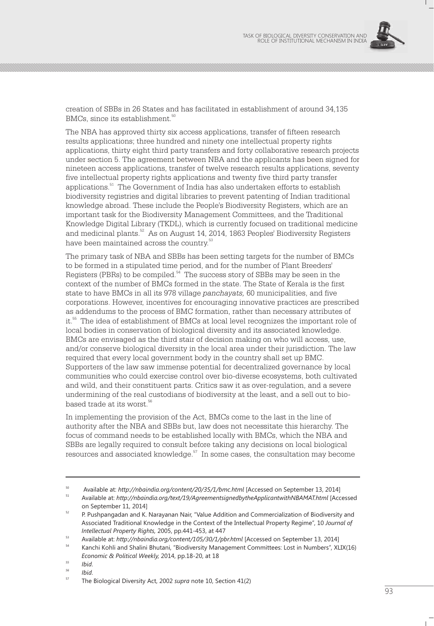

creation of SBBs in 26 States and has facilitated in establishment of around 34,135 BMCs, since its establishment.<sup>50</sup>

The NBA has approved thirty six access applications, transfer of fifteen research results applications; three hundred and ninety one intellectual property rights applications, thirty eight third party transfers and forty collaborative research projects under section 5. The agreement between NBA and the applicants has been signed for nineteen access applications, transfer of twelve research results applications, seventy five intellectual property rights applications and twenty five third party transfer applications.<sup>51</sup> The Government of India has also undertaken efforts to establish biodiversity registries and digital libraries to prevent patenting of Indian traditional knowledge abroad. These include the People's Biodiversity Registers, which are an important task for the Biodiversity Management Committees, and the Traditional Knowledge Digital Library (TKDL), which is currently focused on traditional medicine and medicinal plants.<sup>52</sup> As on August 14, 2014, 1863 Peoples' Biodiversity Registers have been maintained across the country.<sup>53</sup>

The primary task of NBA and SBBs has been setting targets for the number of BMCs to be formed in a stipulated time period, and for the number of Plant Breeders' Registers (PBRs) to be compiled.<sup>54</sup> The success story of SBBs may be seen in the context of the number of BMCs formed in the state. The State of Kerala is the first state to have BMCs in all its 978 village *panchayats,* 60 municipalities, and five corporations. However, incentives for encouraging innovative practices are prescribed as addendums to the process of BMC formation, rather than necessary attributes of it.<sup>55</sup> The idea of establishment of BMCs at local level recognizes the important role of local bodies in conservation of biological diversity and its associated knowledge. BMCs are envisaged as the third stair of decision making on who will access, use, and/or conserve biological diversity in the local area under their jurisdiction. The law required that every local government body in the country shall set up BMC. Supporters of the law saw immense potential for decentralized governance by local communities who could exercise control over bio-diverse ecosystems, both cultivated and wild, and their constituent parts. Critics saw it as over-regulation, and a severe undermining of the real custodians of biodiversity at the least, and a sell out to biobased trade at its worst.<sup>56</sup>

In implementing the provision of the Act, BMCs come to the last in the line of authority after the NBA and SBBs but, law does not necessitate this hierarchy. The focus of command needs to be established locally with BMCs, which the NBA and SBBs are legally required to consult before taking any decisions on local biological  $s$  resources and associated knowledge.<sup>57</sup> In some cases, the consultation may become

<sup>50</sup> Available at: *http://nbaindia.org/content/20/35/1/bmc.html* [Accessed on September 13, 2014]

<sup>51</sup> Available at: *http://nbaindia.org/text/19/AgreementsignedbytheApplicantwithNBAMAT.html* [Accessed on September 11, 2014]

<sup>&</sup>lt;sup>52</sup> P. Pushpangadan and K. Narayanan Nair, "Value Addition and Commercialization of Biodiversity and Associated Traditional Knowledge in the Context of the Intellectual Property Regime", 10 *Journal of Intellectual Property Rights,* 2005, pp.441-453, at 447

<sup>53</sup> Available at: *http://nbaindia.org/content/105/30/1/pbr.html* [Accessed on September 13, 2014]

<sup>54</sup> Kanchi Kohli and Shalini Bhutani, "Biodiversity Management Committees: Lost in Numbers", XLIX(16) *Economic & Political Weekly,* 2014, pp.18-20, at 18

*<sup>55</sup> Ibid*.

*<sup>56</sup> Ibid*.

<sup>57</sup> The Biological Diversity Act, 2002 *supra* note 10, Section 41(2)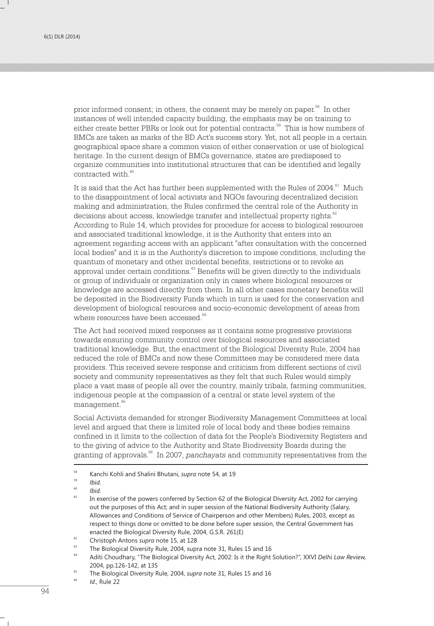prior informed consent; in others, the consent may be merely on paper.<sup>58</sup> In other instances of well intended capacity building, the emphasis may be on training to either create better PBRs or look out for potential contracts.<sup>59</sup> This is how numbers of BMCs are taken as marks of the BD Act's success story. Yet, not all people in a certain geographical space share a common vision of either conservation or use of biological heritage. In the current design of BMCs governance, states are predisposed to organize communities into institutional structures that can be identified and legally contracted with.<sup>60</sup>

It is said that the Act has further been supplemented with the Rules of 2004.<sup>61</sup> Much to the disappointment of local activists and NGOs favouring decentralized decision making and administration, the Rules confirmed the central role of the Authority in decisions about access, knowledge transfer and intellectual property rights.<sup>62</sup> According to Rule 14, which provides for procedure for access to biological resources and associated traditional knowledge, it is the Authority that enters into an agreement regarding access with an applicant "after consultation with the concerned local bodies" and it is in the Authority's discretion to impose conditions, including the quantum of monetary and other incidental benefits, restrictions or to revoke an approval under certain conditions.<sup>63</sup> Benefits will be given directly to the individuals or group of individuals or organization only in cases where biological resources or knowledge are accessed directly from them. In all other cases monetary benefits will be deposited in the Biodiversity Funds which in turn is used for the conservation and development of biological resources and socio-economic development of areas from where resources have been accessed.<sup>64</sup>

The Act had received mixed responses as it contains some progressive provisions towards ensuring community control over biological resources and associated traditional knowledge. But, the enactment of the Biological Diversity Rule, 2004 has reduced the role of BMCs and now these Committees may be considered mere data providers. This received severe response and criticism from different sections of civil society and community representatives as they felt that such Rules would simply place a vast mass of people all over the country, mainly tribals, farming communities, indigenous people at the compassion of a central or state level system of the management.<sup>65</sup>

Social Activists demanded for stronger Biodiversity Management Committees at local level and argued that there is limited role of local body and these bodies remains confined in it limits to the collection of data for the People's Biodiversity Registers and to the giving of advice to the Authority and State Biodiversity Boards during the granting of approvals.<sup>66</sup> In 2007, *panchayats* and community representatives from the

<sup>58</sup> Kanchi Kohli and Shalini Bhutani, *supra* note 54, at 19

<sup>59</sup> *Ibid*.

<sup>60</sup> *Ibid*.

<sup>61</sup> In exercise of the powers conferred by Section 62 of the Biological Diversity Act, 2002 for carrying out the purposes of this Act; and in super session of the National Biodiversity Authority (Salary, Allowances and Conditions of Service of Chairperson and other Members) Rules, 2003, except as respect to things done or omitted to be done before super session, the Central Government has enacted the Biological Diversity Rule, 2004, G.S.R. 261(E)

<sup>62</sup> Christoph Antons *supra* note 15, at 128

<sup>63</sup> The Biological Diversity Rule, 2004, supra note 31, Rules 15 and 16

<sup>64</sup> Aditi Choudhary, "The Biological Diversity Act, 2002: Is it the Right Solution?", XXVI *Delhi Law Review,*  2004, pp.126-142, at 135

<sup>65</sup> The Biological Diversity Rule, 2004, *supra* note 31, Rules 15 and 16

<sup>66</sup> *Id*., Rule 22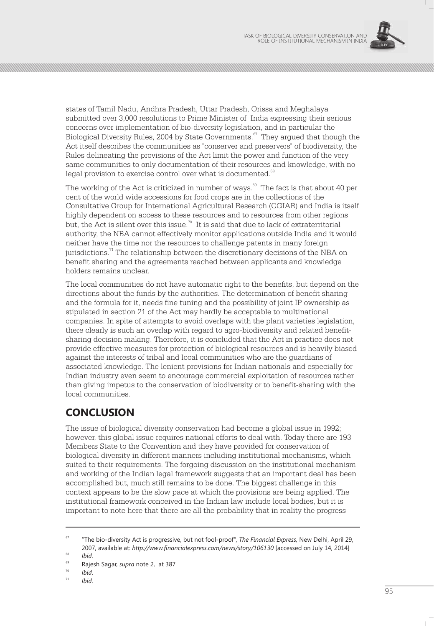

states of Tamil Nadu, Andhra Pradesh, Uttar Pradesh, Orissa and Meghalaya submitted over 3,000 resolutions to Prime Minister of India expressing their serious concerns over implementation of bio-diversity legislation, and in particular the Biological Diversity Rules, 2004 by State Governments.<sup>67</sup> They argued that though the Act itself describes the communities as "conserver and preservers" of biodiversity, the Rules delineating the provisions of the Act limit the power and function of the very same communities to only documentation of their resources and knowledge, with no legal provision to exercise control over what is documented.<sup>68</sup>

The working of the Act is criticized in number of ways.<sup>69</sup> The fact is that about 40 per cent of the world wide accessions for food crops are in the collections of the Consultative Group for International Agricultural Research (CGIAR) and India is itself highly dependent on access to these resources and to resources from other regions but, the Act is silent over this issue.<sup>70</sup> It is said that due to lack of extraterritorial authority, the NBA cannot effectively monitor applications outside India and it would neither have the time nor the resources to challenge patents in many foreign jurisdictions.<sup> $71$ </sup> The relationship between the discretionary decisions of the NBA on benefit sharing and the agreements reached between applicants and knowledge holders remains unclear.

The local communities do not have automatic right to the benefits, but depend on the directions about the funds by the authorities. The determination of benefit sharing and the formula for it, needs fine tuning and the possibility of joint IP ownership as stipulated in section 21 of the Act may hardly be acceptable to multinational companies. In spite of attempts to avoid overlaps with the plant varieties legislation, there clearly is such an overlap with regard to agro-biodiversity and related benefitsharing decision making. Therefore, it is concluded that the Act in practice does not provide effective measures for protection of biological resources and is heavily biased against the interests of tribal and local communities who are the guardians of associated knowledge. The lenient provisions for Indian nationals and especially for Indian industry even seem to encourage commercial exploitation of resources rather than giving impetus to the conservation of biodiversity or to benefit-sharing with the local communities.

## **CONCLUSION**

The issue of biological diversity conservation had become a global issue in 1992; however, this global issue requires national efforts to deal with. Today there are 193 Members State to the Convention and they have provided for conservation of biological diversity in different manners including institutional mechanisms, which suited to their requirements. The forgoing discussion on the institutional mechanism and working of the Indian legal framework suggests that an important deal has been accomplished but, much still remains to be done. The biggest challenge in this context appears to be the slow pace at which the provisions are being applied. The institutional framework conceived in the Indian law include local bodies, but it is important to note here that there are all the probability that in reality the progress

<sup>71</sup> *Ibid*.

<sup>67</sup> "The bio-diversity Act is progressive, but not fool-proof", *The Financial Express,* New Delhi, April 29, 2007, available at: *http://www.financialexpress.com/news/story/106130* [accessed on July 14, 2014]

 $\frac{68}{69}$  *Ibid.* 

<sup>69</sup> Rajesh Sagar, *supra* note 2, at 387

 $\frac{70}{71}$  *Ibid.*